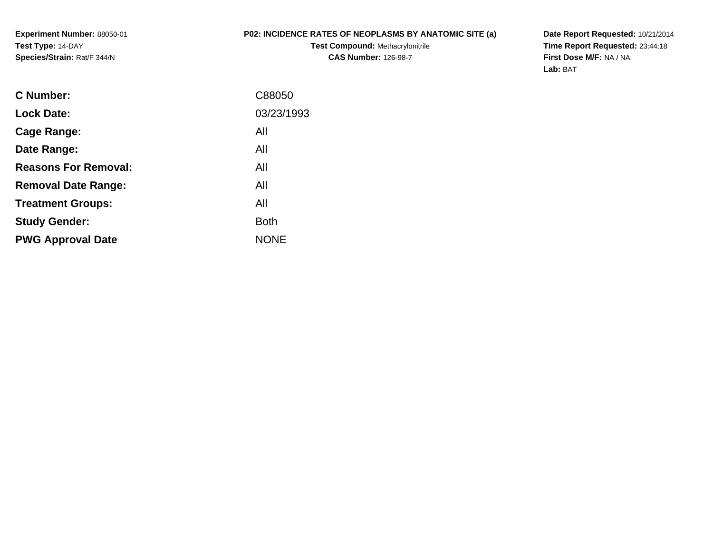**Experiment Number:** 88050-01**Test Type:** 14-DAY**Species/Strain:** Rat/F 344/N

## **P02: INCIDENCE RATES OF NEOPLASMS BY ANATOMIC SITE (a)**

**Test Compound:** Methacrylonitrile**CAS Number:** 126-98-7

**Date Report Requested:** 10/21/2014 **Time Report Requested:** 23:44:18**First Dose M/F:** NA / NA**Lab:** BAT

| C Number:                   | C88050      |
|-----------------------------|-------------|
| <b>Lock Date:</b>           | 03/23/1993  |
| Cage Range:                 | All         |
| Date Range:                 | All         |
| <b>Reasons For Removal:</b> | All         |
| <b>Removal Date Range:</b>  | All         |
| <b>Treatment Groups:</b>    | All         |
| <b>Study Gender:</b>        | <b>Both</b> |
| <b>PWG Approval Date</b>    | <b>NONE</b> |
|                             |             |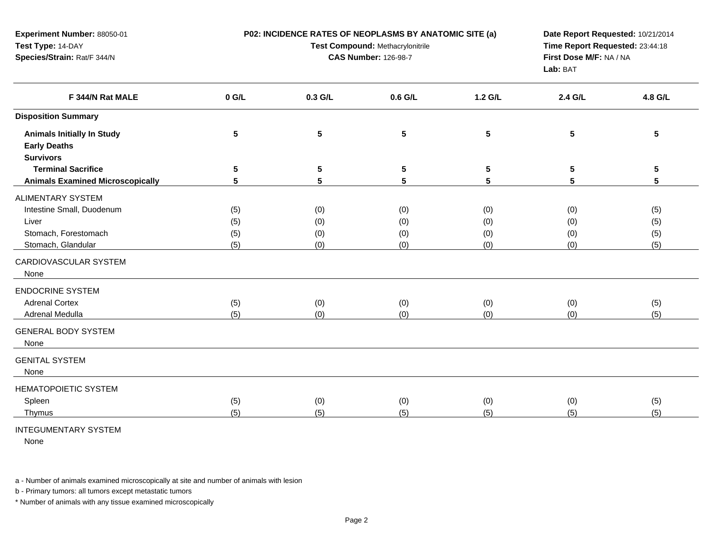| Experiment Number: 88050-01<br>Test Type: 14-DAY<br>Species/Strain: Rat/F 344/N |         |         | Test Compound: Methacrylonitrile<br><b>CAS Number: 126-98-7</b> | P02: INCIDENCE RATES OF NEOPLASMS BY ANATOMIC SITE (a)<br>Date Report Requested: 10/21/2014<br>Time Report Requested: 23:44:18<br>First Dose M/F: NA / NA<br>Lab: BAT |                 |         |  |
|---------------------------------------------------------------------------------|---------|---------|-----------------------------------------------------------------|-----------------------------------------------------------------------------------------------------------------------------------------------------------------------|-----------------|---------|--|
| F 344/N Rat MALE                                                                | $0$ G/L | 0.3 G/L | $0.6$ G/L                                                       | 1.2 G/L                                                                                                                                                               | 2.4 G/L         | 4.8 G/L |  |
| <b>Disposition Summary</b>                                                      |         |         |                                                                 |                                                                                                                                                                       |                 |         |  |
| <b>Animals Initially In Study</b><br><b>Early Deaths</b><br><b>Survivors</b>    | 5       | 5       | ${\bf 5}$                                                       | 5                                                                                                                                                                     | $5\phantom{.0}$ | 5       |  |
| <b>Terminal Sacrifice</b>                                                       | 5       | 5       | $5\phantom{.0}$                                                 | 5                                                                                                                                                                     | 5               | 5       |  |
| <b>Animals Examined Microscopically</b>                                         | 5       | 5       | 5                                                               | 5                                                                                                                                                                     | 5               | 5       |  |
| <b>ALIMENTARY SYSTEM</b>                                                        |         |         |                                                                 |                                                                                                                                                                       |                 |         |  |
| Intestine Small, Duodenum                                                       | (5)     | (0)     | (0)                                                             | (0)                                                                                                                                                                   | (0)             | (5)     |  |
| Liver                                                                           | (5)     | (0)     | (0)                                                             | (0)                                                                                                                                                                   | (0)             | (5)     |  |
| Stomach, Forestomach                                                            | (5)     | (0)     | (0)                                                             | (0)                                                                                                                                                                   | (0)             | (5)     |  |
| Stomach, Glandular                                                              | (5)     | (0)     | (0)                                                             | (0)                                                                                                                                                                   | (0)             | (5)     |  |
| CARDIOVASCULAR SYSTEM<br>None                                                   |         |         |                                                                 |                                                                                                                                                                       |                 |         |  |
| <b>ENDOCRINE SYSTEM</b>                                                         |         |         |                                                                 |                                                                                                                                                                       |                 |         |  |
| <b>Adrenal Cortex</b>                                                           | (5)     | (0)     | (0)                                                             | (0)                                                                                                                                                                   | (0)             | (5)     |  |
| Adrenal Medulla                                                                 | (5)     | (0)     | (0)                                                             | (0)                                                                                                                                                                   | (0)             | (5)     |  |
| <b>GENERAL BODY SYSTEM</b><br>None                                              |         |         |                                                                 |                                                                                                                                                                       |                 |         |  |
| <b>GENITAL SYSTEM</b><br>None                                                   |         |         |                                                                 |                                                                                                                                                                       |                 |         |  |
| <b>HEMATOPOIETIC SYSTEM</b>                                                     |         |         |                                                                 |                                                                                                                                                                       |                 |         |  |
| Spleen                                                                          | (5)     | (0)     | (0)                                                             | (0)                                                                                                                                                                   | (0)             | (5)     |  |
| Thymus                                                                          | (5)     | (5)     | (5)                                                             | (5)                                                                                                                                                                   | (5)             | (5)     |  |
| TTCQU111TU11T1QVQVQTTU11                                                        |         |         |                                                                 |                                                                                                                                                                       |                 |         |  |

## INTEGUMENTARY SYSTEM

None

a - Number of animals examined microscopically at site and number of animals with lesion

b - Primary tumors: all tumors except metastatic tumors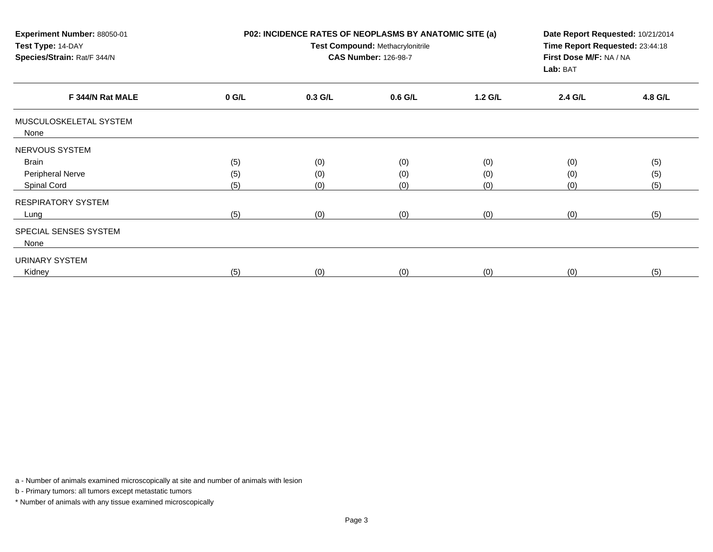| Experiment Number: 88050-01<br>Test Type: 14-DAY<br>Species/Strain: Rat/F 344/N | P02: INCIDENCE RATES OF NEOPLASMS BY ANATOMIC SITE (a)<br>Test Compound: Methacrylonitrile<br><b>CAS Number: 126-98-7</b> |           |           |         | Date Report Requested: 10/21/2014<br>Time Report Requested: 23:44:18<br>First Dose M/F: NA / NA<br>Lab: BAT |         |  |
|---------------------------------------------------------------------------------|---------------------------------------------------------------------------------------------------------------------------|-----------|-----------|---------|-------------------------------------------------------------------------------------------------------------|---------|--|
| F 344/N Rat MALE                                                                | $0$ G/L                                                                                                                   | $0.3$ G/L | $0.6$ G/L | 1.2 G/L | 2.4 G/L                                                                                                     | 4.8 G/L |  |
| MUSCULOSKELETAL SYSTEM<br>None                                                  |                                                                                                                           |           |           |         |                                                                                                             |         |  |
| NERVOUS SYSTEM                                                                  |                                                                                                                           |           |           |         |                                                                                                             |         |  |
| <b>Brain</b>                                                                    | (5)                                                                                                                       | (0)       | (0)       | (0)     | (0)                                                                                                         | (5)     |  |
| Peripheral Nerve                                                                | (5)                                                                                                                       | (0)       | (0)       | (0)     | (0)                                                                                                         | (5)     |  |
| Spinal Cord                                                                     | (5)                                                                                                                       | (0)       | (0)       | (0)     | (0)                                                                                                         | (5)     |  |
| <b>RESPIRATORY SYSTEM</b>                                                       |                                                                                                                           |           |           |         |                                                                                                             |         |  |
| Lung                                                                            | (5)                                                                                                                       | (0)       | (0)       | (0)     | (0)                                                                                                         | (5)     |  |
| SPECIAL SENSES SYSTEM                                                           |                                                                                                                           |           |           |         |                                                                                                             |         |  |
| None                                                                            |                                                                                                                           |           |           |         |                                                                                                             |         |  |
| URINARY SYSTEM                                                                  |                                                                                                                           |           |           |         |                                                                                                             |         |  |
| Kidney                                                                          | (5)                                                                                                                       | (0)       | (0)       | (0)     | (0)                                                                                                         | (5)     |  |

a - Number of animals examined microscopically at site and number of animals with lesion

b - Primary tumors: all tumors except metastatic tumors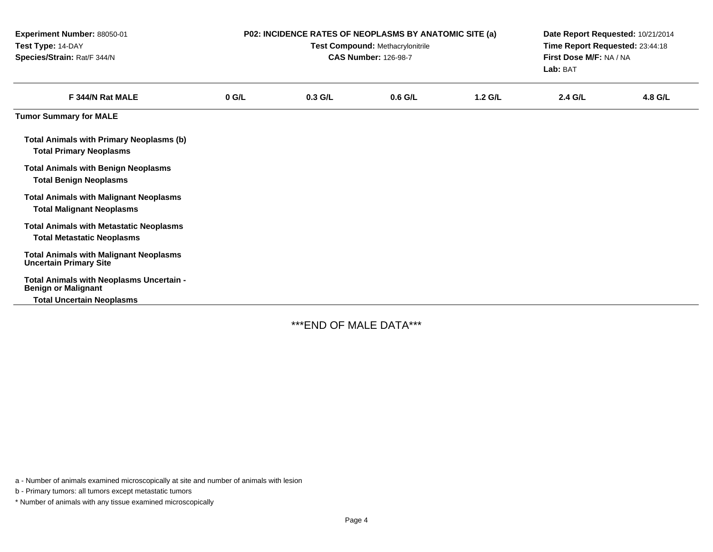| Experiment Number: 88050-01<br>Test Type: 14-DAY<br>Species/Strain: Rat/F 344/N                            |         | P02: INCIDENCE RATES OF NEOPLASMS BY ANATOMIC SITE (a) | Test Compound: Methacrylonitrile<br><b>CAS Number: 126-98-7</b> |           | Date Report Requested: 10/21/2014<br>Time Report Requested: 23:44:18<br>First Dose M/F: NA / NA<br>Lab: BAT |         |
|------------------------------------------------------------------------------------------------------------|---------|--------------------------------------------------------|-----------------------------------------------------------------|-----------|-------------------------------------------------------------------------------------------------------------|---------|
| F 344/N Rat MALE                                                                                           | $0$ G/L | $0.3$ G/L                                              | $0.6$ G/L                                                       | $1.2$ G/L | 2.4 G/L                                                                                                     | 4.8 G/L |
| <b>Tumor Summary for MALE</b>                                                                              |         |                                                        |                                                                 |           |                                                                                                             |         |
| <b>Total Animals with Primary Neoplasms (b)</b><br><b>Total Primary Neoplasms</b>                          |         |                                                        |                                                                 |           |                                                                                                             |         |
| <b>Total Animals with Benign Neoplasms</b><br><b>Total Benign Neoplasms</b>                                |         |                                                        |                                                                 |           |                                                                                                             |         |
| <b>Total Animals with Malignant Neoplasms</b><br><b>Total Malignant Neoplasms</b>                          |         |                                                        |                                                                 |           |                                                                                                             |         |
| <b>Total Animals with Metastatic Neoplasms</b><br><b>Total Metastatic Neoplasms</b>                        |         |                                                        |                                                                 |           |                                                                                                             |         |
| <b>Total Animals with Malignant Neoplasms</b><br><b>Uncertain Primary Site</b>                             |         |                                                        |                                                                 |           |                                                                                                             |         |
| Total Animals with Neoplasms Uncertain -<br><b>Benign or Malignant</b><br><b>Total Uncertain Neoplasms</b> |         |                                                        |                                                                 |           |                                                                                                             |         |

\*\*\*END OF MALE DATA\*\*\*

a - Number of animals examined microscopically at site and number of animals with lesion

b - Primary tumors: all tumors except metastatic tumors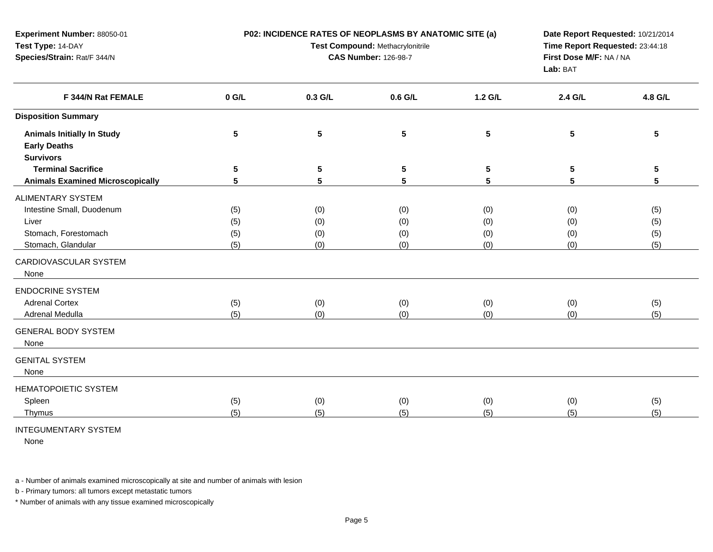| Experiment Number: 88050-01<br>Test Type: 14-DAY<br>Species/Strain: Rat/F 344/N |         | P02: INCIDENCE RATES OF NEOPLASMS BY ANATOMIC SITE (a)<br>Test Compound: Methacrylonitrile<br><b>CAS Number: 126-98-7</b> | Date Report Requested: 10/21/2014<br>Time Report Requested: 23:44:18<br>First Dose M/F: NA / NA<br>Lab: BAT |                 |                |         |
|---------------------------------------------------------------------------------|---------|---------------------------------------------------------------------------------------------------------------------------|-------------------------------------------------------------------------------------------------------------|-----------------|----------------|---------|
| F 344/N Rat FEMALE                                                              | $0$ G/L | 0.3 G/L                                                                                                                   | 0.6 G/L                                                                                                     | 1.2 G/L         | 2.4 G/L        | 4.8 G/L |
| <b>Disposition Summary</b>                                                      |         |                                                                                                                           |                                                                                                             |                 |                |         |
| <b>Animals Initially In Study</b><br><b>Early Deaths</b><br><b>Survivors</b>    | 5       | 5                                                                                                                         | ${\bf 5}$                                                                                                   | $5\phantom{.0}$ | $5\phantom{1}$ | 5       |
| <b>Terminal Sacrifice</b>                                                       | 5       | 5                                                                                                                         | $5\phantom{.0}$                                                                                             | 5               | 5              | 5       |
| <b>Animals Examined Microscopically</b>                                         | 5       | 5                                                                                                                         | 5                                                                                                           | 5               | 5              | 5       |
| <b>ALIMENTARY SYSTEM</b>                                                        |         |                                                                                                                           |                                                                                                             |                 |                |         |
| Intestine Small, Duodenum                                                       | (5)     | (0)                                                                                                                       | (0)                                                                                                         | (0)             | (0)            | (5)     |
| Liver                                                                           | (5)     | (0)                                                                                                                       | (0)                                                                                                         | (0)             | (0)            | (5)     |
| Stomach, Forestomach                                                            | (5)     | (0)                                                                                                                       | (0)                                                                                                         | (0)             | (0)            | (5)     |
| Stomach, Glandular                                                              | (5)     | (0)                                                                                                                       | (0)                                                                                                         | (0)             | (0)            | (5)     |
| CARDIOVASCULAR SYSTEM<br>None                                                   |         |                                                                                                                           |                                                                                                             |                 |                |         |
| <b>ENDOCRINE SYSTEM</b>                                                         |         |                                                                                                                           |                                                                                                             |                 |                |         |
| <b>Adrenal Cortex</b>                                                           | (5)     | (0)                                                                                                                       | (0)                                                                                                         | (0)             | (0)            | (5)     |
| Adrenal Medulla                                                                 | (5)     | (0)                                                                                                                       | (0)                                                                                                         | (0)             | (0)            | (5)     |
| <b>GENERAL BODY SYSTEM</b><br>None                                              |         |                                                                                                                           |                                                                                                             |                 |                |         |
| <b>GENITAL SYSTEM</b><br>None                                                   |         |                                                                                                                           |                                                                                                             |                 |                |         |
| <b>HEMATOPOIETIC SYSTEM</b>                                                     |         |                                                                                                                           |                                                                                                             |                 |                |         |
| Spleen                                                                          | (5)     | (0)                                                                                                                       | (0)                                                                                                         | (0)             | (0)            | (5)     |
| Thymus                                                                          | (5)     | (5)                                                                                                                       | (5)                                                                                                         | (5)             | (5)            | (5)     |
|                                                                                 |         |                                                                                                                           |                                                                                                             |                 |                |         |

## INTEGUMENTARY SYSTEM

None

a - Number of animals examined microscopically at site and number of animals with lesion

b - Primary tumors: all tumors except metastatic tumors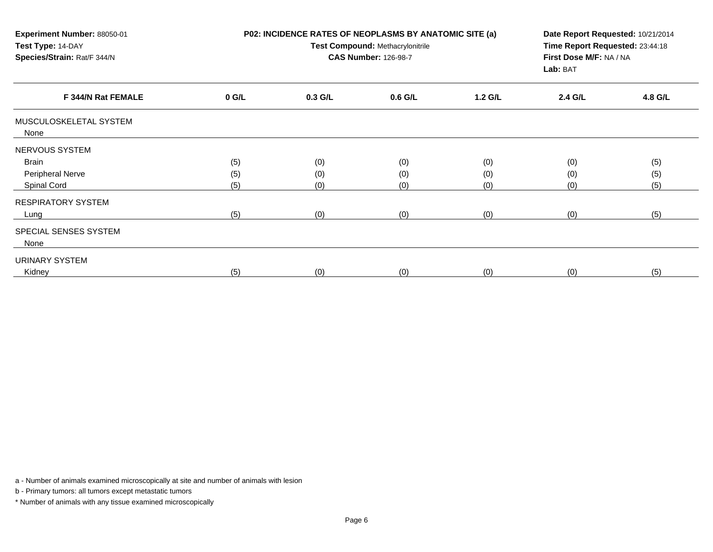| Experiment Number: 88050-01<br>Test Type: 14-DAY<br>Species/Strain: Rat/F 344/N | P02: INCIDENCE RATES OF NEOPLASMS BY ANATOMIC SITE (a)<br>Test Compound: Methacrylonitrile<br><b>CAS Number: 126-98-7</b> |           |           |         | Date Report Requested: 10/21/2014<br>Time Report Requested: 23:44:18<br>First Dose M/F: NA / NA<br>Lab: BAT |         |  |
|---------------------------------------------------------------------------------|---------------------------------------------------------------------------------------------------------------------------|-----------|-----------|---------|-------------------------------------------------------------------------------------------------------------|---------|--|
| F 344/N Rat FEMALE                                                              | $0$ G/L                                                                                                                   | $0.3$ G/L | $0.6$ G/L | 1.2 G/L | 2.4 G/L                                                                                                     | 4.8 G/L |  |
| MUSCULOSKELETAL SYSTEM<br>None                                                  |                                                                                                                           |           |           |         |                                                                                                             |         |  |
| NERVOUS SYSTEM                                                                  |                                                                                                                           |           |           |         |                                                                                                             |         |  |
| <b>Brain</b>                                                                    | (5)                                                                                                                       | (0)       | (0)       | (0)     | (0)                                                                                                         | (5)     |  |
| Peripheral Nerve                                                                | (5)                                                                                                                       | (0)       | (0)       | (0)     | (0)                                                                                                         | (5)     |  |
| Spinal Cord                                                                     | (5)                                                                                                                       | (0)       | (0)       | (0)     | (0)                                                                                                         | (5)     |  |
| <b>RESPIRATORY SYSTEM</b>                                                       |                                                                                                                           |           |           |         |                                                                                                             |         |  |
| Lung                                                                            | (5)                                                                                                                       | (0)       | (0)       | (0)     | (0)                                                                                                         | (5)     |  |
| SPECIAL SENSES SYSTEM<br>None                                                   |                                                                                                                           |           |           |         |                                                                                                             |         |  |
| <b>URINARY SYSTEM</b>                                                           |                                                                                                                           |           |           |         |                                                                                                             |         |  |
| Kidney                                                                          | (5)                                                                                                                       | (0)       | (0)       | (0)     | (0)                                                                                                         | (5)     |  |

a - Number of animals examined microscopically at site and number of animals with lesion

b - Primary tumors: all tumors except metastatic tumors